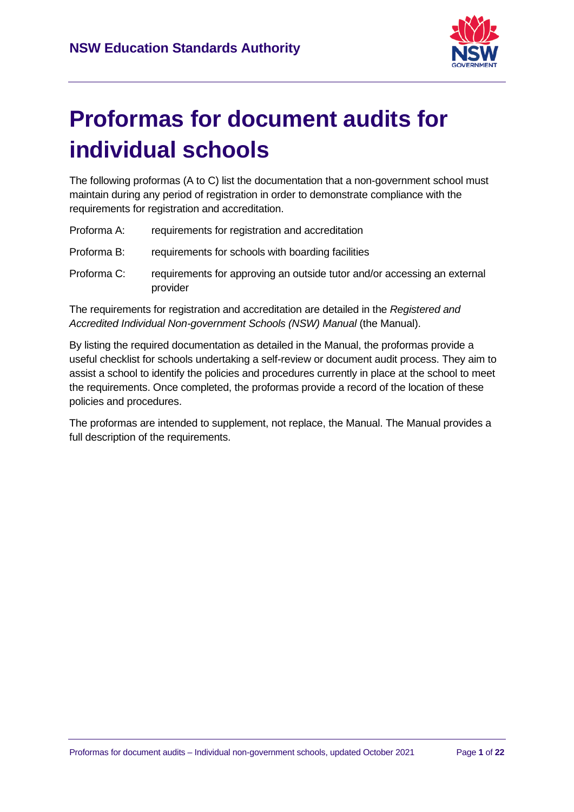

# **Proformas for document audits for individual schools**

The following proformas (A to C) list the documentation that a non-government school must maintain during any period of registration in order to demonstrate compliance with the requirements for registration and accreditation.

| Proforma A: | requirements for registration and accreditation |
|-------------|-------------------------------------------------|
|-------------|-------------------------------------------------|

- Proforma B: requirements for schools with boarding facilities
- Proforma C: requirements for approving an outside tutor and/or accessing an external provider

The requirements for registration and accreditation are detailed in the *Registered and Accredited Individual Non-government Schools (NSW) Manual* (the Manual).

By listing the required documentation as detailed in the Manual, the proformas provide a useful checklist for schools undertaking a self-review or document audit process. They aim to assist a school to identify the policies and procedures currently in place at the school to meet the requirements. Once completed, the proformas provide a record of the location of these policies and procedures.

The proformas are intended to supplement, not replace, the Manual. The Manual provides a full description of the requirements.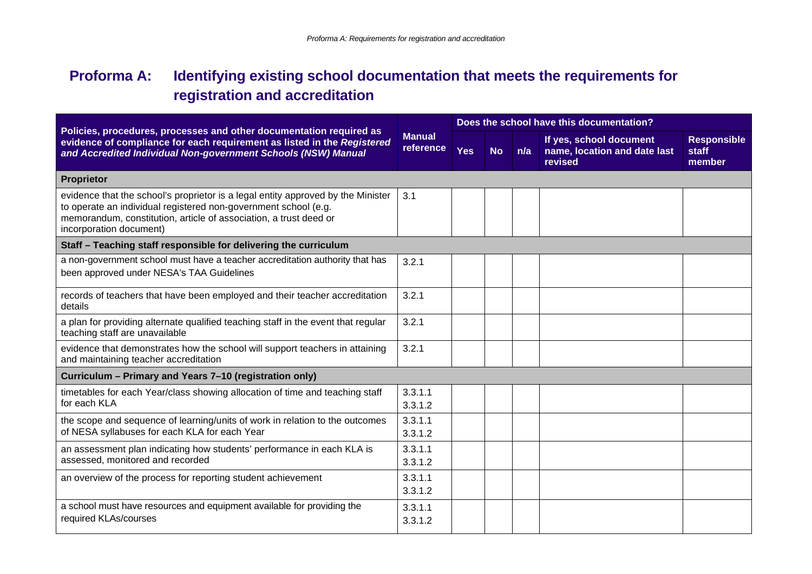# **Proforma A: Identifying existing school documentation that meets the requirements for registration and accreditation**

| Policies, procedures, processes and other documentation required as                                                                                                                                                                                 | Does the school have this documentation? |            |           |     |                                                                    |                                       |  |
|-----------------------------------------------------------------------------------------------------------------------------------------------------------------------------------------------------------------------------------------------------|------------------------------------------|------------|-----------|-----|--------------------------------------------------------------------|---------------------------------------|--|
| evidence of compliance for each requirement as listed in the Registered<br>and Accredited Individual Non-government Schools (NSW) Manual                                                                                                            | <b>Manual</b><br>reference               | <b>Yes</b> | <b>No</b> | n/a | If yes, school document<br>name, location and date last<br>revised | <b>Responsible</b><br>staff<br>member |  |
| Proprietor                                                                                                                                                                                                                                          |                                          |            |           |     |                                                                    |                                       |  |
| evidence that the school's proprietor is a legal entity approved by the Minister<br>to operate an individual registered non-government school (e.g.<br>memorandum, constitution, article of association, a trust deed or<br>incorporation document) | 3.1                                      |            |           |     |                                                                    |                                       |  |
| Staff - Teaching staff responsible for delivering the curriculum                                                                                                                                                                                    |                                          |            |           |     |                                                                    |                                       |  |
| a non-government school must have a teacher accreditation authority that has<br>been approved under NESA's TAA Guidelines                                                                                                                           | 3.2.1                                    |            |           |     |                                                                    |                                       |  |
| records of teachers that have been employed and their teacher accreditation<br>details                                                                                                                                                              | 3.2.1                                    |            |           |     |                                                                    |                                       |  |
| a plan for providing alternate qualified teaching staff in the event that regular<br>teaching staff are unavailable                                                                                                                                 | 3.2.1                                    |            |           |     |                                                                    |                                       |  |
| evidence that demonstrates how the school will support teachers in attaining<br>and maintaining teacher accreditation                                                                                                                               | 3.2.1                                    |            |           |     |                                                                    |                                       |  |
| Curriculum - Primary and Years 7-10 (registration only)                                                                                                                                                                                             |                                          |            |           |     |                                                                    |                                       |  |
| timetables for each Year/class showing allocation of time and teaching staff<br>for each KLA                                                                                                                                                        | 3.3.1.1<br>3.3.1.2                       |            |           |     |                                                                    |                                       |  |
| the scope and sequence of learning/units of work in relation to the outcomes<br>of NESA syllabuses for each KLA for each Year                                                                                                                       | 3.3.1.1<br>3.3.1.2                       |            |           |     |                                                                    |                                       |  |
| an assessment plan indicating how students' performance in each KLA is<br>assessed, monitored and recorded                                                                                                                                          | 3.3.1.1<br>3.3.1.2                       |            |           |     |                                                                    |                                       |  |
| an overview of the process for reporting student achievement                                                                                                                                                                                        | 3.3.1.1<br>3.3.1.2                       |            |           |     |                                                                    |                                       |  |
| a school must have resources and equipment available for providing the<br>required KLAs/courses                                                                                                                                                     | 3.3.1.1<br>3.3.1.2                       |            |           |     |                                                                    |                                       |  |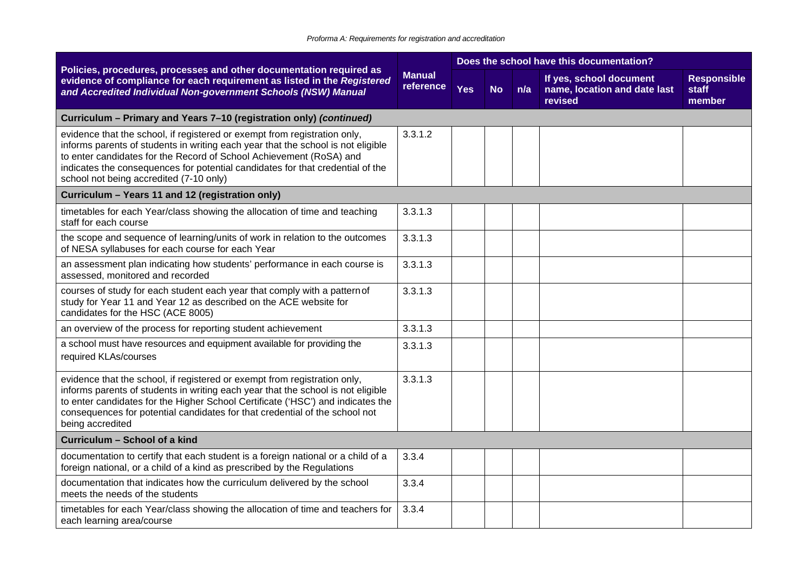|                                                                                                                                                                                                                                                                                                                                                                   | <b>Manual</b><br>reference | Does the school have this documentation? |           |     |                                                                    |                                       |  |  |
|-------------------------------------------------------------------------------------------------------------------------------------------------------------------------------------------------------------------------------------------------------------------------------------------------------------------------------------------------------------------|----------------------------|------------------------------------------|-----------|-----|--------------------------------------------------------------------|---------------------------------------|--|--|
| Policies, procedures, processes and other documentation required as<br>evidence of compliance for each requirement as listed in the Registered<br>and Accredited Individual Non-government Schools (NSW) Manual                                                                                                                                                   |                            | <b>Yes</b>                               | <b>No</b> | n/a | If yes, school document<br>name, location and date last<br>revised | <b>Responsible</b><br>staff<br>member |  |  |
| Curriculum - Primary and Years 7-10 (registration only) (continued)                                                                                                                                                                                                                                                                                               |                            |                                          |           |     |                                                                    |                                       |  |  |
| evidence that the school, if registered or exempt from registration only,<br>informs parents of students in writing each year that the school is not eligible<br>to enter candidates for the Record of School Achievement (RoSA) and<br>indicates the consequences for potential candidates for that credential of the<br>school not being accredited (7-10 only) | 3.3.1.2                    |                                          |           |     |                                                                    |                                       |  |  |
| Curriculum - Years 11 and 12 (registration only)                                                                                                                                                                                                                                                                                                                  |                            |                                          |           |     |                                                                    |                                       |  |  |
| timetables for each Year/class showing the allocation of time and teaching<br>staff for each course                                                                                                                                                                                                                                                               | 3.3.1.3                    |                                          |           |     |                                                                    |                                       |  |  |
| the scope and sequence of learning/units of work in relation to the outcomes<br>of NESA syllabuses for each course for each Year                                                                                                                                                                                                                                  | 3.3.1.3                    |                                          |           |     |                                                                    |                                       |  |  |
| an assessment plan indicating how students' performance in each course is<br>assessed, monitored and recorded                                                                                                                                                                                                                                                     | 3.3.1.3                    |                                          |           |     |                                                                    |                                       |  |  |
| courses of study for each student each year that comply with a pattern of<br>study for Year 11 and Year 12 as described on the ACE website for<br>candidates for the HSC (ACE 8005)                                                                                                                                                                               | 3.3.1.3                    |                                          |           |     |                                                                    |                                       |  |  |
| an overview of the process for reporting student achievement                                                                                                                                                                                                                                                                                                      | 3.3.1.3                    |                                          |           |     |                                                                    |                                       |  |  |
| a school must have resources and equipment available for providing the<br>required KLAs/courses                                                                                                                                                                                                                                                                   | 3.3.1.3                    |                                          |           |     |                                                                    |                                       |  |  |
| evidence that the school, if registered or exempt from registration only,<br>informs parents of students in writing each year that the school is not eligible<br>to enter candidates for the Higher School Certificate ('HSC') and indicates the<br>consequences for potential candidates for that credential of the school not<br>being accredited               | 3.3.1.3                    |                                          |           |     |                                                                    |                                       |  |  |
| Curriculum - School of a kind                                                                                                                                                                                                                                                                                                                                     |                            |                                          |           |     |                                                                    |                                       |  |  |
| documentation to certify that each student is a foreign national or a child of a<br>foreign national, or a child of a kind as prescribed by the Regulations                                                                                                                                                                                                       | 3.3.4                      |                                          |           |     |                                                                    |                                       |  |  |
| documentation that indicates how the curriculum delivered by the school<br>meets the needs of the students                                                                                                                                                                                                                                                        | 3.3.4                      |                                          |           |     |                                                                    |                                       |  |  |
| timetables for each Year/class showing the allocation of time and teachers for<br>each learning area/course                                                                                                                                                                                                                                                       | 3.3.4                      |                                          |           |     |                                                                    |                                       |  |  |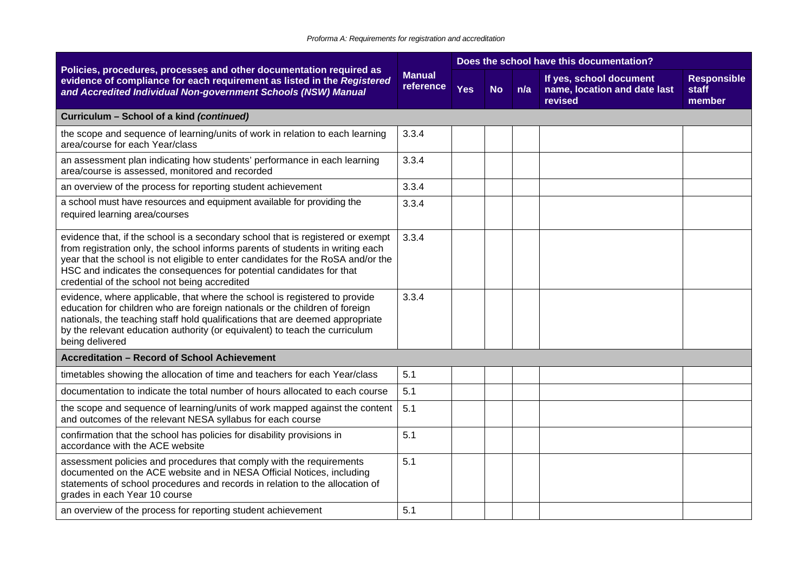|                                                                                                                                                                                                                                                                                                                                                                                |                            |            |           |     | Does the school have this documentation?                           |                                       |
|--------------------------------------------------------------------------------------------------------------------------------------------------------------------------------------------------------------------------------------------------------------------------------------------------------------------------------------------------------------------------------|----------------------------|------------|-----------|-----|--------------------------------------------------------------------|---------------------------------------|
| Policies, procedures, processes and other documentation required as<br>evidence of compliance for each requirement as listed in the Registered<br>and Accredited Individual Non-government Schools (NSW) Manual                                                                                                                                                                | <b>Manual</b><br>reference | <b>Yes</b> | <b>No</b> | n/a | If yes, school document<br>name, location and date last<br>revised | <b>Responsible</b><br>staff<br>member |
| Curriculum - School of a kind (continued)                                                                                                                                                                                                                                                                                                                                      |                            |            |           |     |                                                                    |                                       |
| the scope and sequence of learning/units of work in relation to each learning<br>area/course for each Year/class                                                                                                                                                                                                                                                               | 3.3.4                      |            |           |     |                                                                    |                                       |
| an assessment plan indicating how students' performance in each learning<br>area/course is assessed, monitored and recorded                                                                                                                                                                                                                                                    | 3.3.4                      |            |           |     |                                                                    |                                       |
| an overview of the process for reporting student achievement                                                                                                                                                                                                                                                                                                                   | 3.3.4                      |            |           |     |                                                                    |                                       |
| a school must have resources and equipment available for providing the<br>required learning area/courses                                                                                                                                                                                                                                                                       | 3.3.4                      |            |           |     |                                                                    |                                       |
| evidence that, if the school is a secondary school that is registered or exempt<br>from registration only, the school informs parents of students in writing each<br>year that the school is not eligible to enter candidates for the RoSA and/or the<br>HSC and indicates the consequences for potential candidates for that<br>credential of the school not being accredited | 3.3.4                      |            |           |     |                                                                    |                                       |
| evidence, where applicable, that where the school is registered to provide<br>education for children who are foreign nationals or the children of foreign<br>nationals, the teaching staff hold qualifications that are deemed appropriate<br>by the relevant education authority (or equivalent) to teach the curriculum<br>being delivered                                   | 3.3.4                      |            |           |     |                                                                    |                                       |
| <b>Accreditation - Record of School Achievement</b>                                                                                                                                                                                                                                                                                                                            |                            |            |           |     |                                                                    |                                       |
| timetables showing the allocation of time and teachers for each Year/class                                                                                                                                                                                                                                                                                                     | 5.1                        |            |           |     |                                                                    |                                       |
| documentation to indicate the total number of hours allocated to each course                                                                                                                                                                                                                                                                                                   | 5.1                        |            |           |     |                                                                    |                                       |
| the scope and sequence of learning/units of work mapped against the content<br>and outcomes of the relevant NESA syllabus for each course                                                                                                                                                                                                                                      | 5.1                        |            |           |     |                                                                    |                                       |
| confirmation that the school has policies for disability provisions in<br>accordance with the ACE website                                                                                                                                                                                                                                                                      | 5.1                        |            |           |     |                                                                    |                                       |
| assessment policies and procedures that comply with the requirements<br>documented on the ACE website and in NESA Official Notices, including<br>statements of school procedures and records in relation to the allocation of<br>grades in each Year 10 course                                                                                                                 | 5.1                        |            |           |     |                                                                    |                                       |
| an overview of the process for reporting student achievement                                                                                                                                                                                                                                                                                                                   | 5.1                        |            |           |     |                                                                    |                                       |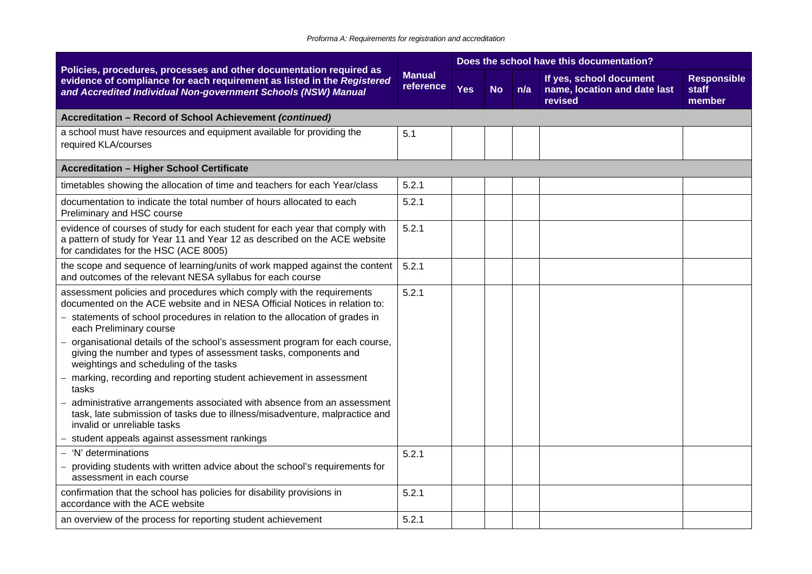#### *Proforma A: Requirements for registration and accreditation*

|                                                                                                                                                                                                                     |                            |            |           |     | Does the school have this documentation?                           |                                       |
|---------------------------------------------------------------------------------------------------------------------------------------------------------------------------------------------------------------------|----------------------------|------------|-----------|-----|--------------------------------------------------------------------|---------------------------------------|
| Policies, procedures, processes and other documentation required as<br>evidence of compliance for each requirement as listed in the Registered<br>and Accredited Individual Non-government Schools (NSW) Manual     | <b>Manual</b><br>reference | <b>Yes</b> | <b>No</b> | n/a | If yes, school document<br>name, location and date last<br>revised | <b>Responsible</b><br>staff<br>member |
| Accreditation - Record of School Achievement (continued)                                                                                                                                                            |                            |            |           |     |                                                                    |                                       |
| a school must have resources and equipment available for providing the<br>required KLA/courses                                                                                                                      | 5.1                        |            |           |     |                                                                    |                                       |
| <b>Accreditation - Higher School Certificate</b>                                                                                                                                                                    |                            |            |           |     |                                                                    |                                       |
| timetables showing the allocation of time and teachers for each Year/class                                                                                                                                          | 5.2.1                      |            |           |     |                                                                    |                                       |
| documentation to indicate the total number of hours allocated to each<br>Preliminary and HSC course                                                                                                                 | 5.2.1                      |            |           |     |                                                                    |                                       |
| evidence of courses of study for each student for each year that comply with<br>a pattern of study for Year 11 and Year 12 as described on the ACE website<br>for candidates for the HSC (ACE 8005)                 | 5.2.1                      |            |           |     |                                                                    |                                       |
| the scope and sequence of learning/units of work mapped against the content<br>and outcomes of the relevant NESA syllabus for each course                                                                           | 5.2.1                      |            |           |     |                                                                    |                                       |
| assessment policies and procedures which comply with the requirements<br>documented on the ACE website and in NESA Official Notices in relation to:                                                                 | 5.2.1                      |            |           |     |                                                                    |                                       |
| - statements of school procedures in relation to the allocation of grades in<br>each Preliminary course                                                                                                             |                            |            |           |     |                                                                    |                                       |
| organisational details of the school's assessment program for each course,<br>$\overline{\phantom{0}}$<br>giving the number and types of assessment tasks, components and<br>weightings and scheduling of the tasks |                            |            |           |     |                                                                    |                                       |
| marking, recording and reporting student achievement in assessment<br>tasks                                                                                                                                         |                            |            |           |     |                                                                    |                                       |
| administrative arrangements associated with absence from an assessment<br>task, late submission of tasks due to illness/misadventure, malpractice and<br>invalid or unreliable tasks                                |                            |            |           |     |                                                                    |                                       |
| student appeals against assessment rankings                                                                                                                                                                         |                            |            |           |     |                                                                    |                                       |
| 'N' determinations                                                                                                                                                                                                  | 5.2.1                      |            |           |     |                                                                    |                                       |
| providing students with written advice about the school's requirements for<br>assessment in each course                                                                                                             |                            |            |           |     |                                                                    |                                       |
| confirmation that the school has policies for disability provisions in<br>accordance with the ACE website                                                                                                           | 5.2.1                      |            |           |     |                                                                    |                                       |
| an overview of the process for reporting student achievement                                                                                                                                                        | 5.2.1                      |            |           |     |                                                                    |                                       |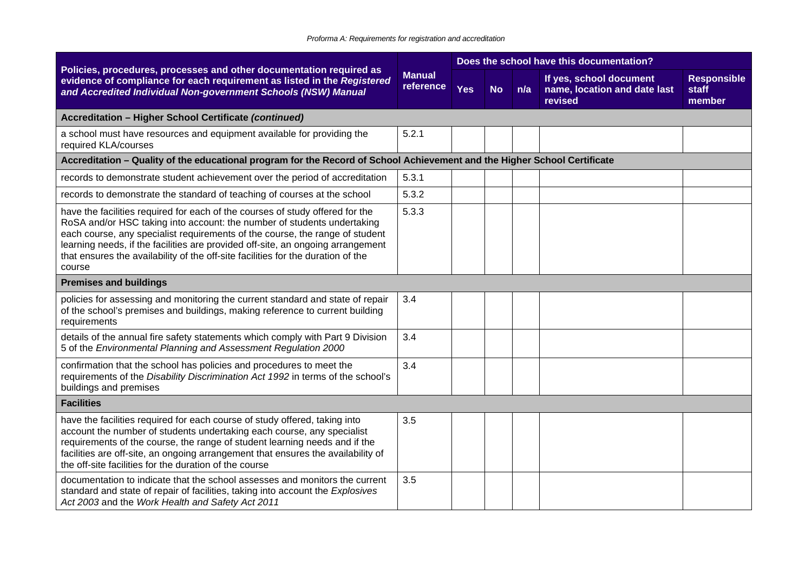| Policies, procedures, processes and other documentation required as<br><b>Manual</b><br>evidence of compliance for each requirement as listed in the Registered<br>reference<br>and Accredited Individual Non-government Schools (NSW) Manual                                                                                                                                                                             | Does the school have this documentation? |            |           |     |                                                                    |                                       |  |
|---------------------------------------------------------------------------------------------------------------------------------------------------------------------------------------------------------------------------------------------------------------------------------------------------------------------------------------------------------------------------------------------------------------------------|------------------------------------------|------------|-----------|-----|--------------------------------------------------------------------|---------------------------------------|--|
|                                                                                                                                                                                                                                                                                                                                                                                                                           |                                          | <b>Yes</b> | <b>No</b> | n/a | If yes, school document<br>name, location and date last<br>revised | <b>Responsible</b><br>staff<br>member |  |
| Accreditation - Higher School Certificate (continued)                                                                                                                                                                                                                                                                                                                                                                     |                                          |            |           |     |                                                                    |                                       |  |
| a school must have resources and equipment available for providing the<br>required KLA/courses                                                                                                                                                                                                                                                                                                                            | 5.2.1                                    |            |           |     |                                                                    |                                       |  |
| Accreditation – Quality of the educational program for the Record of School Achievement and the Higher School Certificate                                                                                                                                                                                                                                                                                                 |                                          |            |           |     |                                                                    |                                       |  |
| records to demonstrate student achievement over the period of accreditation                                                                                                                                                                                                                                                                                                                                               | 5.3.1                                    |            |           |     |                                                                    |                                       |  |
| records to demonstrate the standard of teaching of courses at the school                                                                                                                                                                                                                                                                                                                                                  | 5.3.2                                    |            |           |     |                                                                    |                                       |  |
| have the facilities required for each of the courses of study offered for the<br>RoSA and/or HSC taking into account: the number of students undertaking<br>each course, any specialist requirements of the course, the range of student<br>learning needs, if the facilities are provided off-site, an ongoing arrangement<br>that ensures the availability of the off-site facilities for the duration of the<br>course | 5.3.3                                    |            |           |     |                                                                    |                                       |  |
| <b>Premises and buildings</b>                                                                                                                                                                                                                                                                                                                                                                                             |                                          |            |           |     |                                                                    |                                       |  |
| policies for assessing and monitoring the current standard and state of repair<br>of the school's premises and buildings, making reference to current building<br>requirements                                                                                                                                                                                                                                            | 3.4                                      |            |           |     |                                                                    |                                       |  |
| details of the annual fire safety statements which comply with Part 9 Division<br>5 of the Environmental Planning and Assessment Regulation 2000                                                                                                                                                                                                                                                                          | 3.4                                      |            |           |     |                                                                    |                                       |  |
| confirmation that the school has policies and procedures to meet the<br>requirements of the Disability Discrimination Act 1992 in terms of the school's<br>buildings and premises                                                                                                                                                                                                                                         | 3.4                                      |            |           |     |                                                                    |                                       |  |
| <b>Facilities</b>                                                                                                                                                                                                                                                                                                                                                                                                         |                                          |            |           |     |                                                                    |                                       |  |
| have the facilities required for each course of study offered, taking into<br>account the number of students undertaking each course, any specialist<br>requirements of the course, the range of student learning needs and if the<br>facilities are off-site, an ongoing arrangement that ensures the availability of<br>the off-site facilities for the duration of the course                                          | 3.5                                      |            |           |     |                                                                    |                                       |  |
| documentation to indicate that the school assesses and monitors the current<br>standard and state of repair of facilities, taking into account the Explosives<br>Act 2003 and the Work Health and Safety Act 2011                                                                                                                                                                                                         | 3.5                                      |            |           |     |                                                                    |                                       |  |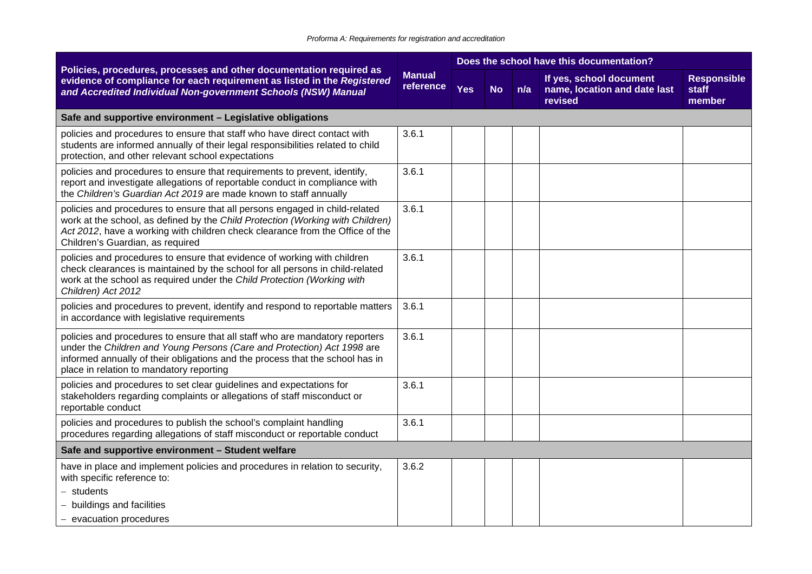|                                                                                                                                                                                                                                                                                      |                            |            |           |     | Does the school have this documentation?                           |                                       |
|--------------------------------------------------------------------------------------------------------------------------------------------------------------------------------------------------------------------------------------------------------------------------------------|----------------------------|------------|-----------|-----|--------------------------------------------------------------------|---------------------------------------|
| Policies, procedures, processes and other documentation required as<br>evidence of compliance for each requirement as listed in the Registered<br>and Accredited Individual Non-government Schools (NSW) Manual                                                                      | <b>Manual</b><br>reference | <b>Yes</b> | <b>No</b> | n/a | If yes, school document<br>name, location and date last<br>revised | <b>Responsible</b><br>staff<br>member |
| Safe and supportive environment - Legislative obligations                                                                                                                                                                                                                            |                            |            |           |     |                                                                    |                                       |
| policies and procedures to ensure that staff who have direct contact with<br>students are informed annually of their legal responsibilities related to child<br>protection, and other relevant school expectations                                                                   | 3.6.1                      |            |           |     |                                                                    |                                       |
| policies and procedures to ensure that requirements to prevent, identify,<br>report and investigate allegations of reportable conduct in compliance with<br>the Children's Guardian Act 2019 are made known to staff annually                                                        | 3.6.1                      |            |           |     |                                                                    |                                       |
| policies and procedures to ensure that all persons engaged in child-related<br>work at the school, as defined by the Child Protection (Working with Children)<br>Act 2012, have a working with children check clearance from the Office of the<br>Children's Guardian, as required   | 3.6.1                      |            |           |     |                                                                    |                                       |
| policies and procedures to ensure that evidence of working with children<br>check clearances is maintained by the school for all persons in child-related<br>work at the school as required under the Child Protection (Working with<br>Children) Act 2012                           | 3.6.1                      |            |           |     |                                                                    |                                       |
| policies and procedures to prevent, identify and respond to reportable matters<br>in accordance with legislative requirements                                                                                                                                                        | 3.6.1                      |            |           |     |                                                                    |                                       |
| policies and procedures to ensure that all staff who are mandatory reporters<br>under the Children and Young Persons (Care and Protection) Act 1998 are<br>informed annually of their obligations and the process that the school has in<br>place in relation to mandatory reporting | 3.6.1                      |            |           |     |                                                                    |                                       |
| policies and procedures to set clear guidelines and expectations for<br>stakeholders regarding complaints or allegations of staff misconduct or<br>reportable conduct                                                                                                                | 3.6.1                      |            |           |     |                                                                    |                                       |
| policies and procedures to publish the school's complaint handling<br>procedures regarding allegations of staff misconduct or reportable conduct                                                                                                                                     | 3.6.1                      |            |           |     |                                                                    |                                       |
| Safe and supportive environment - Student welfare                                                                                                                                                                                                                                    |                            |            |           |     |                                                                    |                                       |
| have in place and implement policies and procedures in relation to security,<br>with specific reference to:<br>$-$ students                                                                                                                                                          | 3.6.2                      |            |           |     |                                                                    |                                       |
| - buildings and facilities                                                                                                                                                                                                                                                           |                            |            |           |     |                                                                    |                                       |
| - evacuation procedures                                                                                                                                                                                                                                                              |                            |            |           |     |                                                                    |                                       |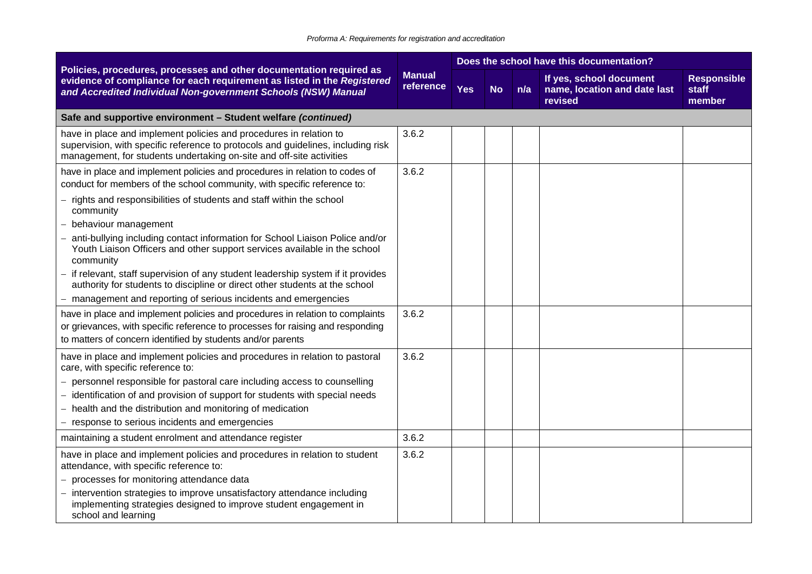|                                                                                                                                                                                                                                | <b>Manual</b><br>reference |            | Does the school have this documentation? |     |                                                                    |                                       |  |
|--------------------------------------------------------------------------------------------------------------------------------------------------------------------------------------------------------------------------------|----------------------------|------------|------------------------------------------|-----|--------------------------------------------------------------------|---------------------------------------|--|
| Policies, procedures, processes and other documentation required as<br>evidence of compliance for each requirement as listed in the Registered<br>and Accredited Individual Non-government Schools (NSW) Manual                |                            | <b>Yes</b> | <b>No</b>                                | n/a | If yes, school document<br>name, location and date last<br>revised | <b>Responsible</b><br>staff<br>member |  |
| Safe and supportive environment - Student welfare (continued)                                                                                                                                                                  |                            |            |                                          |     |                                                                    |                                       |  |
| have in place and implement policies and procedures in relation to<br>supervision, with specific reference to protocols and guidelines, including risk<br>management, for students undertaking on-site and off-site activities | 3.6.2                      |            |                                          |     |                                                                    |                                       |  |
| have in place and implement policies and procedures in relation to codes of<br>conduct for members of the school community, with specific reference to:                                                                        | 3.6.2                      |            |                                          |     |                                                                    |                                       |  |
| - rights and responsibilities of students and staff within the school<br>community                                                                                                                                             |                            |            |                                          |     |                                                                    |                                       |  |
| behaviour management                                                                                                                                                                                                           |                            |            |                                          |     |                                                                    |                                       |  |
| anti-bullying including contact information for School Liaison Police and/or<br>Youth Liaison Officers and other support services available in the school<br>community                                                         |                            |            |                                          |     |                                                                    |                                       |  |
| if relevant, staff supervision of any student leadership system if it provides<br>authority for students to discipline or direct other students at the school                                                                  |                            |            |                                          |     |                                                                    |                                       |  |
| - management and reporting of serious incidents and emergencies                                                                                                                                                                |                            |            |                                          |     |                                                                    |                                       |  |
| have in place and implement policies and procedures in relation to complaints<br>or grievances, with specific reference to processes for raising and responding<br>to matters of concern identified by students and/or parents | 3.6.2                      |            |                                          |     |                                                                    |                                       |  |
| have in place and implement policies and procedures in relation to pastoral<br>care, with specific reference to:                                                                                                               | 3.6.2                      |            |                                          |     |                                                                    |                                       |  |
| - personnel responsible for pastoral care including access to counselling<br>- identification of and provision of support for students with special needs                                                                      |                            |            |                                          |     |                                                                    |                                       |  |
| - health and the distribution and monitoring of medication<br>- response to serious incidents and emergencies                                                                                                                  |                            |            |                                          |     |                                                                    |                                       |  |
| maintaining a student enrolment and attendance register                                                                                                                                                                        | 3.6.2                      |            |                                          |     |                                                                    |                                       |  |
| have in place and implement policies and procedures in relation to student<br>attendance, with specific reference to:                                                                                                          | 3.6.2                      |            |                                          |     |                                                                    |                                       |  |
| - processes for monitoring attendance data                                                                                                                                                                                     |                            |            |                                          |     |                                                                    |                                       |  |
| intervention strategies to improve unsatisfactory attendance including<br>implementing strategies designed to improve student engagement in<br>school and learning                                                             |                            |            |                                          |     |                                                                    |                                       |  |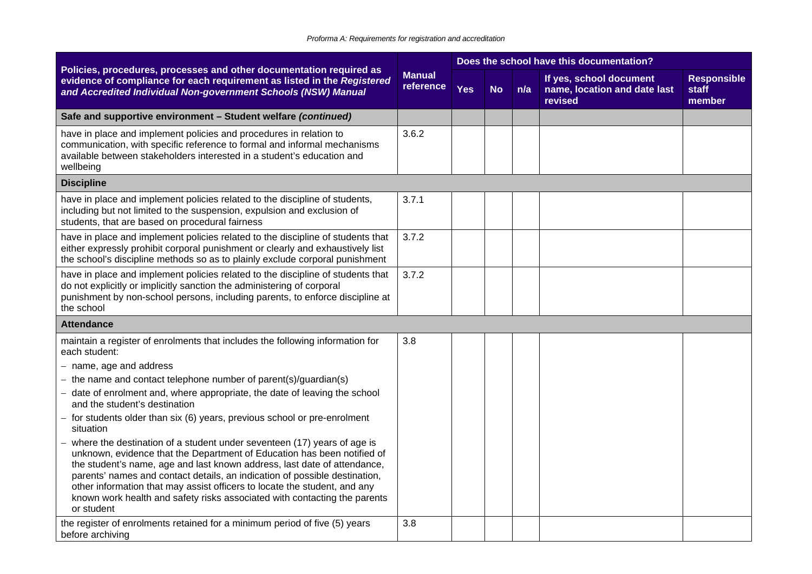|                                                                                                                                                                                                                                                                                                                                                                                                                                                                                      | <b>Manual</b><br>reference |            |           | Does the school have this documentation? |                                                                    |                                       |
|--------------------------------------------------------------------------------------------------------------------------------------------------------------------------------------------------------------------------------------------------------------------------------------------------------------------------------------------------------------------------------------------------------------------------------------------------------------------------------------|----------------------------|------------|-----------|------------------------------------------|--------------------------------------------------------------------|---------------------------------------|
| Policies, procedures, processes and other documentation required as<br>evidence of compliance for each requirement as listed in the Registered<br>and Accredited Individual Non-government Schools (NSW) Manual                                                                                                                                                                                                                                                                      |                            | <b>Yes</b> | <b>No</b> | n/a                                      | If yes, school document<br>name, location and date last<br>revised | <b>Responsible</b><br>staff<br>member |
| Safe and supportive environment - Student welfare (continued)                                                                                                                                                                                                                                                                                                                                                                                                                        |                            |            |           |                                          |                                                                    |                                       |
| have in place and implement policies and procedures in relation to<br>communication, with specific reference to formal and informal mechanisms<br>available between stakeholders interested in a student's education and<br>wellbeing                                                                                                                                                                                                                                                | 3.6.2                      |            |           |                                          |                                                                    |                                       |
| <b>Discipline</b>                                                                                                                                                                                                                                                                                                                                                                                                                                                                    |                            |            |           |                                          |                                                                    |                                       |
| have in place and implement policies related to the discipline of students,<br>including but not limited to the suspension, expulsion and exclusion of<br>students, that are based on procedural fairness                                                                                                                                                                                                                                                                            | 3.7.1                      |            |           |                                          |                                                                    |                                       |
| have in place and implement policies related to the discipline of students that<br>either expressly prohibit corporal punishment or clearly and exhaustively list<br>the school's discipline methods so as to plainly exclude corporal punishment                                                                                                                                                                                                                                    | 3.7.2                      |            |           |                                          |                                                                    |                                       |
| have in place and implement policies related to the discipline of students that<br>do not explicitly or implicitly sanction the administering of corporal<br>punishment by non-school persons, including parents, to enforce discipline at<br>the school                                                                                                                                                                                                                             | 3.7.2                      |            |           |                                          |                                                                    |                                       |
| <b>Attendance</b>                                                                                                                                                                                                                                                                                                                                                                                                                                                                    |                            |            |           |                                          |                                                                    |                                       |
| maintain a register of enrolments that includes the following information for<br>each student:                                                                                                                                                                                                                                                                                                                                                                                       | 3.8                        |            |           |                                          |                                                                    |                                       |
| name, age and address                                                                                                                                                                                                                                                                                                                                                                                                                                                                |                            |            |           |                                          |                                                                    |                                       |
| the name and contact telephone number of parent(s)/guardian(s)<br>date of enrolment and, where appropriate, the date of leaving the school<br>and the student's destination                                                                                                                                                                                                                                                                                                          |                            |            |           |                                          |                                                                    |                                       |
| for students older than six (6) years, previous school or pre-enrolment<br>situation                                                                                                                                                                                                                                                                                                                                                                                                 |                            |            |           |                                          |                                                                    |                                       |
| where the destination of a student under seventeen (17) years of age is<br>unknown, evidence that the Department of Education has been notified of<br>the student's name, age and last known address, last date of attendance,<br>parents' names and contact details, an indication of possible destination,<br>other information that may assist officers to locate the student, and any<br>known work health and safety risks associated with contacting the parents<br>or student |                            |            |           |                                          |                                                                    |                                       |
| the register of enrolments retained for a minimum period of five (5) years<br>before archiving                                                                                                                                                                                                                                                                                                                                                                                       | 3.8                        |            |           |                                          |                                                                    |                                       |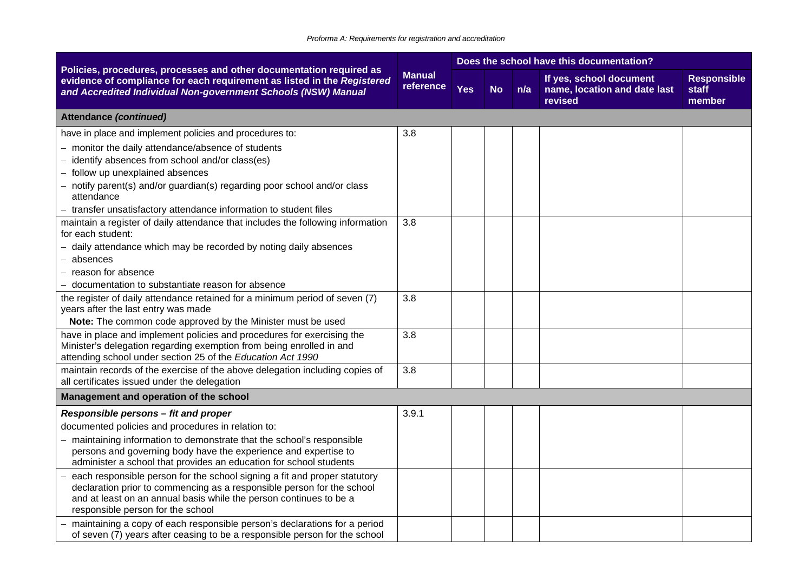#### *Proforma A: Requirements for registration and accreditation*

|                                                                                                                                                                                                                 |                            |            |           |     | Does the school have this documentation?                           |                                       |
|-----------------------------------------------------------------------------------------------------------------------------------------------------------------------------------------------------------------|----------------------------|------------|-----------|-----|--------------------------------------------------------------------|---------------------------------------|
| Policies, procedures, processes and other documentation required as<br>evidence of compliance for each requirement as listed in the Registered<br>and Accredited Individual Non-government Schools (NSW) Manual | <b>Manual</b><br>reference | <b>Yes</b> | <b>No</b> | n/a | If yes, school document<br>name, location and date last<br>revised | <b>Responsible</b><br>staff<br>member |
| <b>Attendance (continued)</b>                                                                                                                                                                                   |                            |            |           |     |                                                                    |                                       |
| have in place and implement policies and procedures to:                                                                                                                                                         | 3.8                        |            |           |     |                                                                    |                                       |
| - monitor the daily attendance/absence of students                                                                                                                                                              |                            |            |           |     |                                                                    |                                       |
| $-$ identify absences from school and/or class(es)                                                                                                                                                              |                            |            |           |     |                                                                    |                                       |
| - follow up unexplained absences                                                                                                                                                                                |                            |            |           |     |                                                                    |                                       |
| - notify parent(s) and/or guardian(s) regarding poor school and/or class<br>attendance                                                                                                                          |                            |            |           |     |                                                                    |                                       |
| - transfer unsatisfactory attendance information to student files                                                                                                                                               |                            |            |           |     |                                                                    |                                       |
| maintain a register of daily attendance that includes the following information<br>for each student:                                                                                                            | 3.8                        |            |           |     |                                                                    |                                       |
| daily attendance which may be recorded by noting daily absences                                                                                                                                                 |                            |            |           |     |                                                                    |                                       |
| absences                                                                                                                                                                                                        |                            |            |           |     |                                                                    |                                       |
| - reason for absence                                                                                                                                                                                            |                            |            |           |     |                                                                    |                                       |
| - documentation to substantiate reason for absence                                                                                                                                                              |                            |            |           |     |                                                                    |                                       |
| the register of daily attendance retained for a minimum period of seven (7)<br>years after the last entry was made                                                                                              | 3.8                        |            |           |     |                                                                    |                                       |
| Note: The common code approved by the Minister must be used                                                                                                                                                     |                            |            |           |     |                                                                    |                                       |
| have in place and implement policies and procedures for exercising the                                                                                                                                          | 3.8                        |            |           |     |                                                                    |                                       |
| Minister's delegation regarding exemption from being enrolled in and                                                                                                                                            |                            |            |           |     |                                                                    |                                       |
| attending school under section 25 of the Education Act 1990                                                                                                                                                     |                            |            |           |     |                                                                    |                                       |
| maintain records of the exercise of the above delegation including copies of<br>all certificates issued under the delegation                                                                                    | 3.8                        |            |           |     |                                                                    |                                       |
| Management and operation of the school                                                                                                                                                                          |                            |            |           |     |                                                                    |                                       |
| Responsible persons - fit and proper                                                                                                                                                                            | 3.9.1                      |            |           |     |                                                                    |                                       |
| documented policies and procedures in relation to:                                                                                                                                                              |                            |            |           |     |                                                                    |                                       |
| maintaining information to demonstrate that the school's responsible                                                                                                                                            |                            |            |           |     |                                                                    |                                       |
| persons and governing body have the experience and expertise to                                                                                                                                                 |                            |            |           |     |                                                                    |                                       |
| administer a school that provides an education for school students                                                                                                                                              |                            |            |           |     |                                                                    |                                       |
| each responsible person for the school signing a fit and proper statutory<br>declaration prior to commencing as a responsible person for the school                                                             |                            |            |           |     |                                                                    |                                       |
| and at least on an annual basis while the person continues to be a                                                                                                                                              |                            |            |           |     |                                                                    |                                       |
| responsible person for the school                                                                                                                                                                               |                            |            |           |     |                                                                    |                                       |
| maintaining a copy of each responsible person's declarations for a period                                                                                                                                       |                            |            |           |     |                                                                    |                                       |
| of seven (7) years after ceasing to be a responsible person for the school                                                                                                                                      |                            |            |           |     |                                                                    |                                       |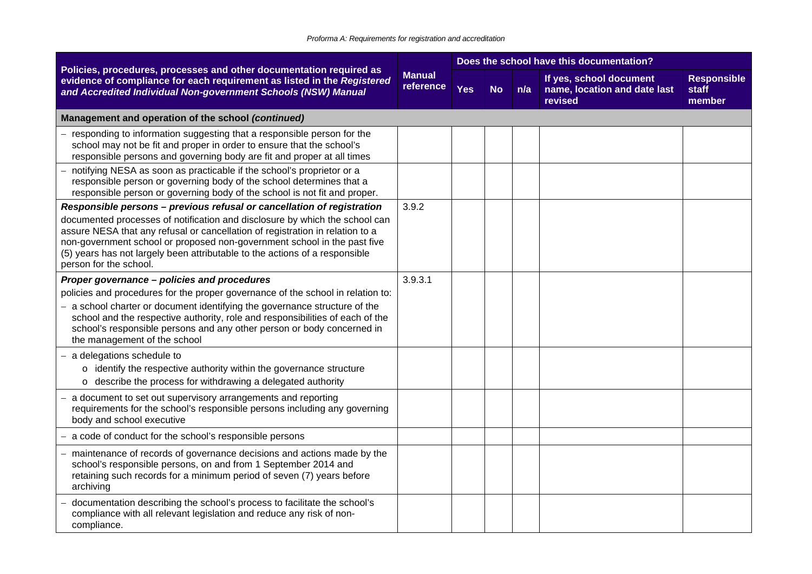|                                                                                                                                                                                                                                                                                                                                                                                                                             |                            |            |           |     | Does the school have this documentation?                           |                                       |
|-----------------------------------------------------------------------------------------------------------------------------------------------------------------------------------------------------------------------------------------------------------------------------------------------------------------------------------------------------------------------------------------------------------------------------|----------------------------|------------|-----------|-----|--------------------------------------------------------------------|---------------------------------------|
| Policies, procedures, processes and other documentation required as<br>evidence of compliance for each requirement as listed in the Registered<br>and Accredited Individual Non-government Schools (NSW) Manual                                                                                                                                                                                                             | <b>Manual</b><br>reference | <b>Yes</b> | <b>No</b> | n/a | If yes, school document<br>name, location and date last<br>revised | <b>Responsible</b><br>staff<br>member |
| Management and operation of the school (continued)                                                                                                                                                                                                                                                                                                                                                                          |                            |            |           |     |                                                                    |                                       |
| - responding to information suggesting that a responsible person for the<br>school may not be fit and proper in order to ensure that the school's<br>responsible persons and governing body are fit and proper at all times                                                                                                                                                                                                 |                            |            |           |     |                                                                    |                                       |
| notifying NESA as soon as practicable if the school's proprietor or a<br>responsible person or governing body of the school determines that a<br>responsible person or governing body of the school is not fit and proper.                                                                                                                                                                                                  |                            |            |           |     |                                                                    |                                       |
| Responsible persons - previous refusal or cancellation of registration<br>documented processes of notification and disclosure by which the school can<br>assure NESA that any refusal or cancellation of registration in relation to a<br>non-government school or proposed non-government school in the past five<br>(5) years has not largely been attributable to the actions of a responsible<br>person for the school. | 3.9.2                      |            |           |     |                                                                    |                                       |
| Proper governance - policies and procedures<br>policies and procedures for the proper governance of the school in relation to:<br>- a school charter or document identifying the governance structure of the<br>school and the respective authority, role and responsibilities of each of the<br>school's responsible persons and any other person or body concerned in<br>the management of the school                     | 3.9.3.1                    |            |           |     |                                                                    |                                       |
| $-$ a delegations schedule to<br>o identify the respective authority within the governance structure<br>o describe the process for withdrawing a delegated authority                                                                                                                                                                                                                                                        |                            |            |           |     |                                                                    |                                       |
| - a document to set out supervisory arrangements and reporting<br>requirements for the school's responsible persons including any governing<br>body and school executive                                                                                                                                                                                                                                                    |                            |            |           |     |                                                                    |                                       |
| a code of conduct for the school's responsible persons                                                                                                                                                                                                                                                                                                                                                                      |                            |            |           |     |                                                                    |                                       |
| - maintenance of records of governance decisions and actions made by the<br>school's responsible persons, on and from 1 September 2014 and<br>retaining such records for a minimum period of seven (7) years before<br>archiving                                                                                                                                                                                            |                            |            |           |     |                                                                    |                                       |
| documentation describing the school's process to facilitate the school's<br>compliance with all relevant legislation and reduce any risk of non-<br>compliance.                                                                                                                                                                                                                                                             |                            |            |           |     |                                                                    |                                       |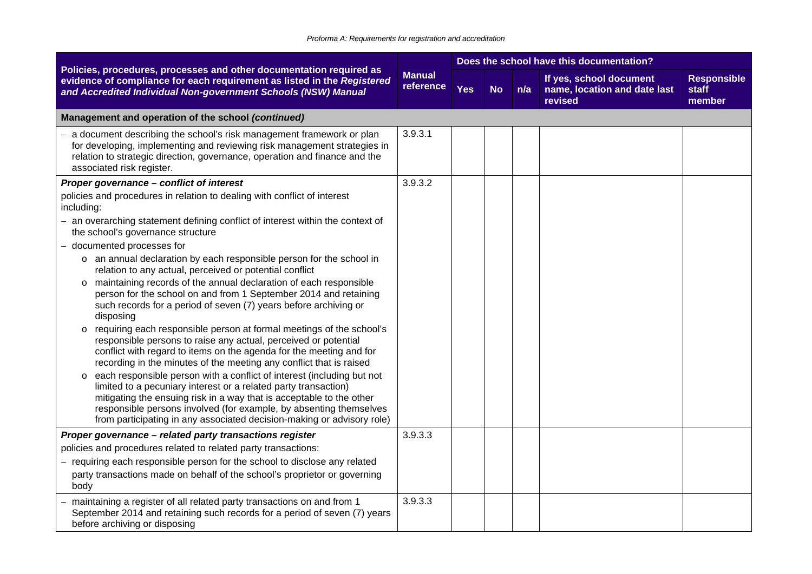|                                                                                                                                                                                                                                                                                                                                                                     |                            |            |           |     | Does the school have this documentation?                           |                                       |
|---------------------------------------------------------------------------------------------------------------------------------------------------------------------------------------------------------------------------------------------------------------------------------------------------------------------------------------------------------------------|----------------------------|------------|-----------|-----|--------------------------------------------------------------------|---------------------------------------|
| Policies, procedures, processes and other documentation required as<br>evidence of compliance for each requirement as listed in the Registered<br>and Accredited Individual Non-government Schools (NSW) Manual                                                                                                                                                     | <b>Manual</b><br>reference | <b>Yes</b> | <b>No</b> | n/a | If yes, school document<br>name, location and date last<br>revised | <b>Responsible</b><br>staff<br>member |
| Management and operation of the school (continued)                                                                                                                                                                                                                                                                                                                  |                            |            |           |     |                                                                    |                                       |
| a document describing the school's risk management framework or plan<br>for developing, implementing and reviewing risk management strategies in<br>relation to strategic direction, governance, operation and finance and the<br>associated risk register.                                                                                                         | 3.9.3.1                    |            |           |     |                                                                    |                                       |
| Proper governance - conflict of interest                                                                                                                                                                                                                                                                                                                            | 3.9.3.2                    |            |           |     |                                                                    |                                       |
| policies and procedures in relation to dealing with conflict of interest<br>including:                                                                                                                                                                                                                                                                              |                            |            |           |     |                                                                    |                                       |
| - an overarching statement defining conflict of interest within the context of<br>the school's governance structure                                                                                                                                                                                                                                                 |                            |            |           |     |                                                                    |                                       |
| - documented processes for                                                                                                                                                                                                                                                                                                                                          |                            |            |           |     |                                                                    |                                       |
| o an annual declaration by each responsible person for the school in<br>relation to any actual, perceived or potential conflict                                                                                                                                                                                                                                     |                            |            |           |     |                                                                    |                                       |
| o maintaining records of the annual declaration of each responsible<br>person for the school on and from 1 September 2014 and retaining<br>such records for a period of seven (7) years before archiving or<br>disposing                                                                                                                                            |                            |            |           |     |                                                                    |                                       |
| o requiring each responsible person at formal meetings of the school's<br>responsible persons to raise any actual, perceived or potential<br>conflict with regard to items on the agenda for the meeting and for<br>recording in the minutes of the meeting any conflict that is raised                                                                             |                            |            |           |     |                                                                    |                                       |
| o each responsible person with a conflict of interest (including but not<br>limited to a pecuniary interest or a related party transaction)<br>mitigating the ensuing risk in a way that is acceptable to the other<br>responsible persons involved (for example, by absenting themselves<br>from participating in any associated decision-making or advisory role) |                            |            |           |     |                                                                    |                                       |
| Proper governance - related party transactions register                                                                                                                                                                                                                                                                                                             | 3.9.3.3                    |            |           |     |                                                                    |                                       |
| policies and procedures related to related party transactions:                                                                                                                                                                                                                                                                                                      |                            |            |           |     |                                                                    |                                       |
| - requiring each responsible person for the school to disclose any related<br>party transactions made on behalf of the school's proprietor or governing<br>body                                                                                                                                                                                                     |                            |            |           |     |                                                                    |                                       |
| maintaining a register of all related party transactions on and from 1<br>September 2014 and retaining such records for a period of seven (7) years<br>before archiving or disposing                                                                                                                                                                                | 3.9.3.3                    |            |           |     |                                                                    |                                       |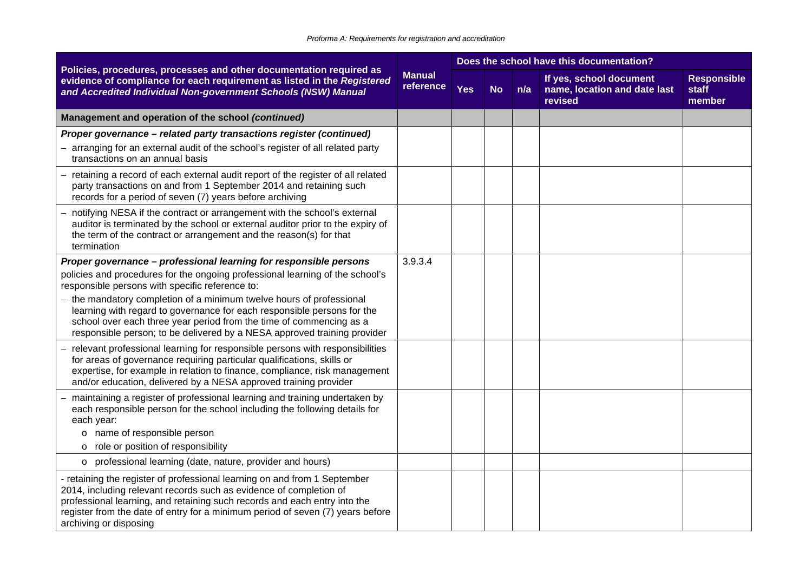|                                                                                                                                                                                                                                                                                                                                                                                                                                                                                                             |                            |            |           |     | Does the school have this documentation?                           |                                       |
|-------------------------------------------------------------------------------------------------------------------------------------------------------------------------------------------------------------------------------------------------------------------------------------------------------------------------------------------------------------------------------------------------------------------------------------------------------------------------------------------------------------|----------------------------|------------|-----------|-----|--------------------------------------------------------------------|---------------------------------------|
| Policies, procedures, processes and other documentation required as<br>evidence of compliance for each requirement as listed in the Registered<br>and Accredited Individual Non-government Schools (NSW) Manual                                                                                                                                                                                                                                                                                             | <b>Manual</b><br>reference | <b>Yes</b> | <b>No</b> | n/a | If yes, school document<br>name, location and date last<br>revised | <b>Responsible</b><br>staff<br>member |
| Management and operation of the school (continued)                                                                                                                                                                                                                                                                                                                                                                                                                                                          |                            |            |           |     |                                                                    |                                       |
| Proper governance - related party transactions register (continued)<br>arranging for an external audit of the school's register of all related party<br>transactions on an annual basis                                                                                                                                                                                                                                                                                                                     |                            |            |           |     |                                                                    |                                       |
| retaining a record of each external audit report of the register of all related<br>party transactions on and from 1 September 2014 and retaining such<br>records for a period of seven (7) years before archiving                                                                                                                                                                                                                                                                                           |                            |            |           |     |                                                                    |                                       |
| notifying NESA if the contract or arrangement with the school's external<br>auditor is terminated by the school or external auditor prior to the expiry of<br>the term of the contract or arrangement and the reason(s) for that<br>termination                                                                                                                                                                                                                                                             |                            |            |           |     |                                                                    |                                       |
| Proper governance - professional learning for responsible persons<br>policies and procedures for the ongoing professional learning of the school's<br>responsible persons with specific reference to:<br>- the mandatory completion of a minimum twelve hours of professional<br>learning with regard to governance for each responsible persons for the<br>school over each three year period from the time of commencing as a<br>responsible person; to be delivered by a NESA approved training provider | 3.9.3.4                    |            |           |     |                                                                    |                                       |
| relevant professional learning for responsible persons with responsibilities<br>for areas of governance requiring particular qualifications, skills or<br>expertise, for example in relation to finance, compliance, risk management<br>and/or education, delivered by a NESA approved training provider                                                                                                                                                                                                    |                            |            |           |     |                                                                    |                                       |
| maintaining a register of professional learning and training undertaken by<br>each responsible person for the school including the following details for<br>each year:<br>o name of responsible person<br>role or position of responsibility<br>$\circ$                                                                                                                                                                                                                                                     |                            |            |           |     |                                                                    |                                       |
| o professional learning (date, nature, provider and hours)                                                                                                                                                                                                                                                                                                                                                                                                                                                  |                            |            |           |     |                                                                    |                                       |
| - retaining the register of professional learning on and from 1 September<br>2014, including relevant records such as evidence of completion of<br>professional learning, and retaining such records and each entry into the<br>register from the date of entry for a minimum period of seven (7) years before<br>archiving or disposing                                                                                                                                                                    |                            |            |           |     |                                                                    |                                       |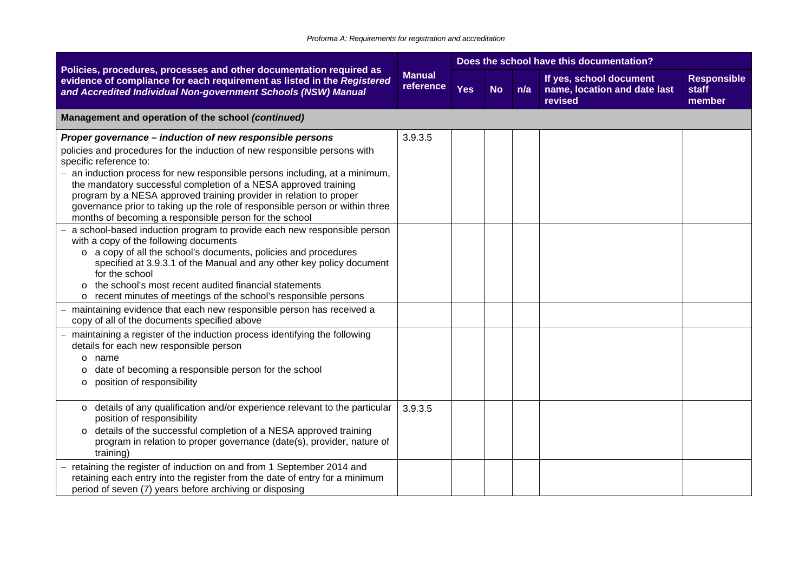|                                                                                                                                                                                                                                                                                                                                                                                                                                                                                                                                   |                            | Does the school have this documentation? |           |     |                                                                    |                                       |  |  |  |
|-----------------------------------------------------------------------------------------------------------------------------------------------------------------------------------------------------------------------------------------------------------------------------------------------------------------------------------------------------------------------------------------------------------------------------------------------------------------------------------------------------------------------------------|----------------------------|------------------------------------------|-----------|-----|--------------------------------------------------------------------|---------------------------------------|--|--|--|
| Policies, procedures, processes and other documentation required as<br>evidence of compliance for each requirement as listed in the Registered<br>and Accredited Individual Non-government Schools (NSW) Manual                                                                                                                                                                                                                                                                                                                   | <b>Manual</b><br>reference | <b>Yes</b>                               | <b>No</b> | n/a | If yes, school document<br>name, location and date last<br>revised | <b>Responsible</b><br>staff<br>member |  |  |  |
| Management and operation of the school (continued)                                                                                                                                                                                                                                                                                                                                                                                                                                                                                |                            |                                          |           |     |                                                                    |                                       |  |  |  |
| Proper governance - induction of new responsible persons<br>policies and procedures for the induction of new responsible persons with<br>specific reference to:<br>- an induction process for new responsible persons including, at a minimum,<br>the mandatory successful completion of a NESA approved training<br>program by a NESA approved training provider in relation to proper<br>governance prior to taking up the role of responsible person or within three<br>months of becoming a responsible person for the school | 3.9.3.5                    |                                          |           |     |                                                                    |                                       |  |  |  |
| a school-based induction program to provide each new responsible person<br>with a copy of the following documents<br>o a copy of all the school's documents, policies and procedures<br>specified at 3.9.3.1 of the Manual and any other key policy document<br>for the school<br>the school's most recent audited financial statements<br>$\circ$<br>o recent minutes of meetings of the school's responsible persons                                                                                                            |                            |                                          |           |     |                                                                    |                                       |  |  |  |
| maintaining evidence that each new responsible person has received a<br>copy of all of the documents specified above                                                                                                                                                                                                                                                                                                                                                                                                              |                            |                                          |           |     |                                                                    |                                       |  |  |  |
| maintaining a register of the induction process identifying the following<br>details for each new responsible person<br>name<br>$\circ$<br>date of becoming a responsible person for the school<br>O<br>position of responsibility<br>O                                                                                                                                                                                                                                                                                           |                            |                                          |           |     |                                                                    |                                       |  |  |  |
| o details of any qualification and/or experience relevant to the particular<br>position of responsibility<br>o details of the successful completion of a NESA approved training<br>program in relation to proper governance (date(s), provider, nature of<br>training)                                                                                                                                                                                                                                                            | 3.9.3.5                    |                                          |           |     |                                                                    |                                       |  |  |  |
| retaining the register of induction on and from 1 September 2014 and<br>retaining each entry into the register from the date of entry for a minimum<br>period of seven (7) years before archiving or disposing                                                                                                                                                                                                                                                                                                                    |                            |                                          |           |     |                                                                    |                                       |  |  |  |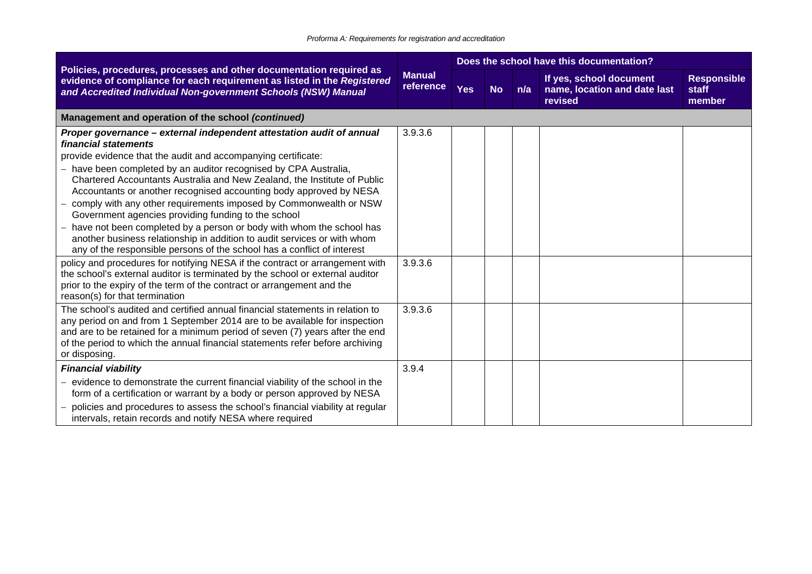|                                                                                                                                                                                                                                                                                                                                                                                                                                                                                                                                                                                                                                                                                                                                                                                                                                                                                                                                                                                         | <b>Manual</b><br>reference | Does the school have this documentation? |           |     |                                                                    |                                       |  |
|-----------------------------------------------------------------------------------------------------------------------------------------------------------------------------------------------------------------------------------------------------------------------------------------------------------------------------------------------------------------------------------------------------------------------------------------------------------------------------------------------------------------------------------------------------------------------------------------------------------------------------------------------------------------------------------------------------------------------------------------------------------------------------------------------------------------------------------------------------------------------------------------------------------------------------------------------------------------------------------------|----------------------------|------------------------------------------|-----------|-----|--------------------------------------------------------------------|---------------------------------------|--|
| Policies, procedures, processes and other documentation required as<br>evidence of compliance for each requirement as listed in the Registered<br>and Accredited Individual Non-government Schools (NSW) Manual                                                                                                                                                                                                                                                                                                                                                                                                                                                                                                                                                                                                                                                                                                                                                                         |                            | <b>Yes</b>                               | <b>No</b> | n/a | If yes, school document<br>name, location and date last<br>revised | <b>Responsible</b><br>staff<br>member |  |
| Management and operation of the school (continued)                                                                                                                                                                                                                                                                                                                                                                                                                                                                                                                                                                                                                                                                                                                                                                                                                                                                                                                                      |                            |                                          |           |     |                                                                    |                                       |  |
| Proper governance - external independent attestation audit of annual<br>financial statements<br>provide evidence that the audit and accompanying certificate:<br>have been completed by an auditor recognised by CPA Australia,<br>Chartered Accountants Australia and New Zealand, the Institute of Public<br>Accountants or another recognised accounting body approved by NESA<br>comply with any other requirements imposed by Commonwealth or NSW<br>Government agencies providing funding to the school<br>have not been completed by a person or body with whom the school has<br>another business relationship in addition to audit services or with whom<br>any of the responsible persons of the school has a conflict of interest<br>policy and procedures for notifying NESA if the contract or arrangement with<br>the school's external auditor is terminated by the school or external auditor<br>prior to the expiry of the term of the contract or arrangement and the | 3.9.3.6<br>3.9.3.6         |                                          |           |     |                                                                    |                                       |  |
| reason(s) for that termination<br>The school's audited and certified annual financial statements in relation to<br>any period on and from 1 September 2014 are to be available for inspection<br>and are to be retained for a minimum period of seven (7) years after the end<br>of the period to which the annual financial statements refer before archiving<br>or disposing.                                                                                                                                                                                                                                                                                                                                                                                                                                                                                                                                                                                                         | 3.9.3.6                    |                                          |           |     |                                                                    |                                       |  |
| <b>Financial viability</b><br>evidence to demonstrate the current financial viability of the school in the<br>form of a certification or warrant by a body or person approved by NESA<br>policies and procedures to assess the school's financial viability at regular<br>intervals, retain records and notify NESA where required                                                                                                                                                                                                                                                                                                                                                                                                                                                                                                                                                                                                                                                      | 3.9.4                      |                                          |           |     |                                                                    |                                       |  |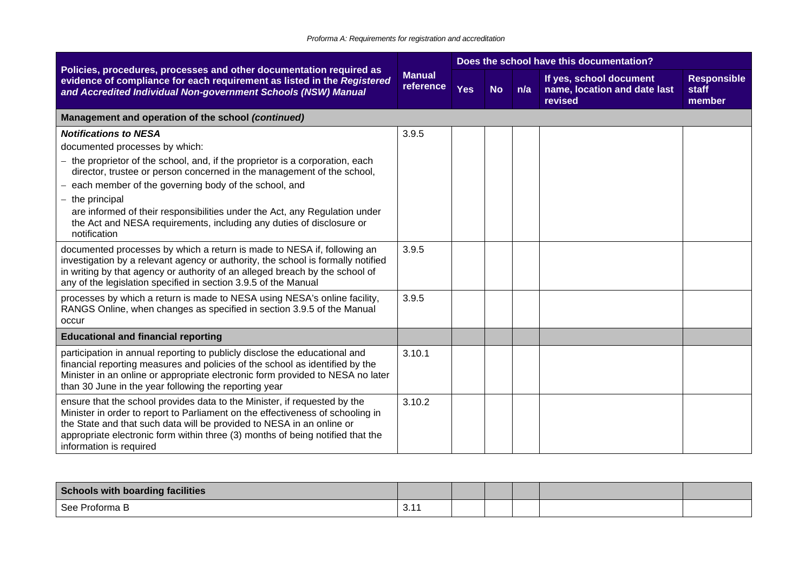|                                                                                                                                                                                                                                                                                                                                                   |                            |            |           |     | Does the school have this documentation?                           |                                       |
|---------------------------------------------------------------------------------------------------------------------------------------------------------------------------------------------------------------------------------------------------------------------------------------------------------------------------------------------------|----------------------------|------------|-----------|-----|--------------------------------------------------------------------|---------------------------------------|
| Policies, procedures, processes and other documentation required as<br>evidence of compliance for each requirement as listed in the Registered<br>and Accredited Individual Non-government Schools (NSW) Manual                                                                                                                                   | <b>Manual</b><br>reference | <b>Yes</b> | <b>No</b> | n/a | If yes, school document<br>name, location and date last<br>revised | <b>Responsible</b><br>staff<br>member |
| Management and operation of the school (continued)                                                                                                                                                                                                                                                                                                |                            |            |           |     |                                                                    |                                       |
| <b>Notifications to NESA</b>                                                                                                                                                                                                                                                                                                                      | 3.9.5                      |            |           |     |                                                                    |                                       |
| documented processes by which:                                                                                                                                                                                                                                                                                                                    |                            |            |           |     |                                                                    |                                       |
| the proprietor of the school, and, if the proprietor is a corporation, each<br>director, trustee or person concerned in the management of the school,                                                                                                                                                                                             |                            |            |           |     |                                                                    |                                       |
| each member of the governing body of the school, and                                                                                                                                                                                                                                                                                              |                            |            |           |     |                                                                    |                                       |
| the principal                                                                                                                                                                                                                                                                                                                                     |                            |            |           |     |                                                                    |                                       |
| are informed of their responsibilities under the Act, any Regulation under<br>the Act and NESA requirements, including any duties of disclosure or<br>notification                                                                                                                                                                                |                            |            |           |     |                                                                    |                                       |
| documented processes by which a return is made to NESA if, following an<br>investigation by a relevant agency or authority, the school is formally notified<br>in writing by that agency or authority of an alleged breach by the school of<br>any of the legislation specified in section 3.9.5 of the Manual                                    | 3.9.5                      |            |           |     |                                                                    |                                       |
| processes by which a return is made to NESA using NESA's online facility,<br>RANGS Online, when changes as specified in section 3.9.5 of the Manual<br>occur                                                                                                                                                                                      | 3.9.5                      |            |           |     |                                                                    |                                       |
| <b>Educational and financial reporting</b>                                                                                                                                                                                                                                                                                                        |                            |            |           |     |                                                                    |                                       |
| participation in annual reporting to publicly disclose the educational and<br>financial reporting measures and policies of the school as identified by the<br>Minister in an online or appropriate electronic form provided to NESA no later<br>than 30 June in the year following the reporting year                                             | 3.10.1                     |            |           |     |                                                                    |                                       |
| ensure that the school provides data to the Minister, if requested by the<br>Minister in order to report to Parliament on the effectiveness of schooling in<br>the State and that such data will be provided to NESA in an online or<br>appropriate electronic form within three (3) months of being notified that the<br>information is required | 3.10.2                     |            |           |     |                                                                    |                                       |

| Schools with boarding facilities |                       |  |  |  |
|----------------------------------|-----------------------|--|--|--|
| See Proforma B                   | $\sim$ $\sim$<br>◡. ៲ |  |  |  |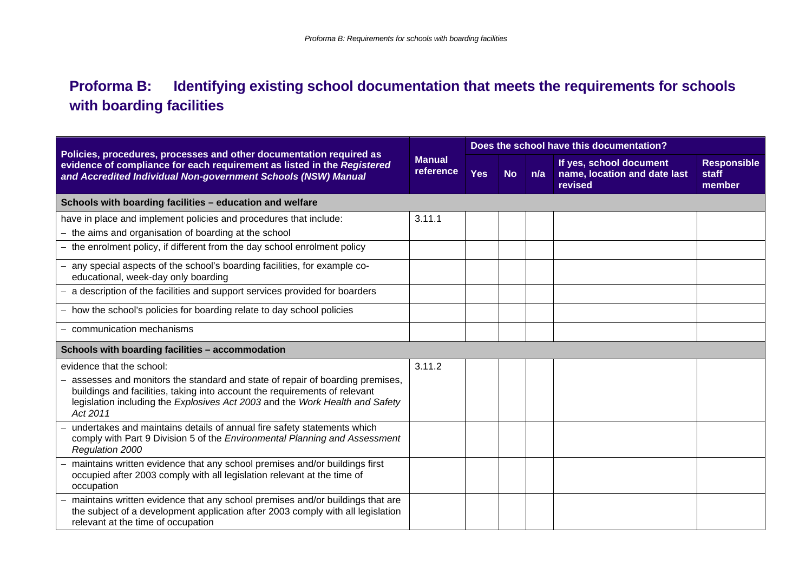## **Proforma B: Identifying existing school documentation that meets the requirements for schools with boarding facilities**

|                                                                                                                                                                                                                                                                                     | <b>Manual</b><br>reference | Does the school have this documentation? |           |     |                                                                    |                                       |  |  |  |
|-------------------------------------------------------------------------------------------------------------------------------------------------------------------------------------------------------------------------------------------------------------------------------------|----------------------------|------------------------------------------|-----------|-----|--------------------------------------------------------------------|---------------------------------------|--|--|--|
| Policies, procedures, processes and other documentation required as<br>evidence of compliance for each requirement as listed in the Registered<br>and Accredited Individual Non-government Schools (NSW) Manual                                                                     |                            | <b>Yes</b>                               | <b>No</b> | n/a | If yes, school document<br>name, location and date last<br>revised | <b>Responsible</b><br>staff<br>member |  |  |  |
| Schools with boarding facilities - education and welfare                                                                                                                                                                                                                            |                            |                                          |           |     |                                                                    |                                       |  |  |  |
| have in place and implement policies and procedures that include:<br>the aims and organisation of boarding at the school                                                                                                                                                            | 3.11.1                     |                                          |           |     |                                                                    |                                       |  |  |  |
| the enrolment policy, if different from the day school enrolment policy                                                                                                                                                                                                             |                            |                                          |           |     |                                                                    |                                       |  |  |  |
| any special aspects of the school's boarding facilities, for example co-<br>educational, week-day only boarding                                                                                                                                                                     |                            |                                          |           |     |                                                                    |                                       |  |  |  |
| a description of the facilities and support services provided for boarders                                                                                                                                                                                                          |                            |                                          |           |     |                                                                    |                                       |  |  |  |
| how the school's policies for boarding relate to day school policies                                                                                                                                                                                                                |                            |                                          |           |     |                                                                    |                                       |  |  |  |
| communication mechanisms                                                                                                                                                                                                                                                            |                            |                                          |           |     |                                                                    |                                       |  |  |  |
| Schools with boarding facilities - accommodation                                                                                                                                                                                                                                    |                            |                                          |           |     |                                                                    |                                       |  |  |  |
| evidence that the school:<br>assesses and monitors the standard and state of repair of boarding premises,<br>buildings and facilities, taking into account the requirements of relevant<br>legislation including the Explosives Act 2003 and the Work Health and Safety<br>Act 2011 | 3.11.2                     |                                          |           |     |                                                                    |                                       |  |  |  |
| undertakes and maintains details of annual fire safety statements which<br>comply with Part 9 Division 5 of the Environmental Planning and Assessment<br>Regulation 2000                                                                                                            |                            |                                          |           |     |                                                                    |                                       |  |  |  |
| maintains written evidence that any school premises and/or buildings first<br>occupied after 2003 comply with all legislation relevant at the time of<br>occupation                                                                                                                 |                            |                                          |           |     |                                                                    |                                       |  |  |  |
| maintains written evidence that any school premises and/or buildings that are<br>the subject of a development application after 2003 comply with all legislation<br>relevant at the time of occupation                                                                              |                            |                                          |           |     |                                                                    |                                       |  |  |  |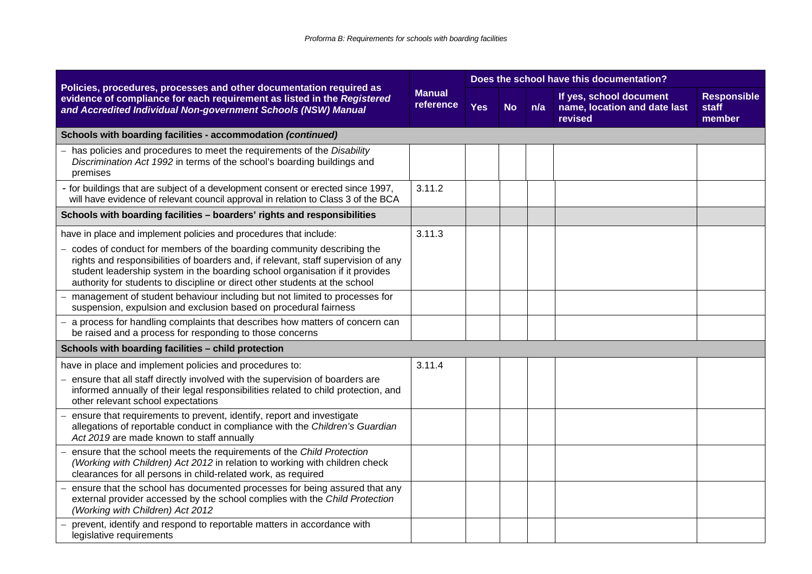|                                                                                                                                                                                                                                                                                                                              | <b>Manual</b><br>reference |     | Does the school have this documentation? |     |                                                                    |                                       |  |  |  |
|------------------------------------------------------------------------------------------------------------------------------------------------------------------------------------------------------------------------------------------------------------------------------------------------------------------------------|----------------------------|-----|------------------------------------------|-----|--------------------------------------------------------------------|---------------------------------------|--|--|--|
| Policies, procedures, processes and other documentation required as<br>evidence of compliance for each requirement as listed in the Registered<br>and Accredited Individual Non-government Schools (NSW) Manual                                                                                                              |                            | Yes | <b>No</b>                                | n/a | If yes, school document<br>name, location and date last<br>revised | <b>Responsible</b><br>staff<br>member |  |  |  |
| Schools with boarding facilities - accommodation (continued)                                                                                                                                                                                                                                                                 |                            |     |                                          |     |                                                                    |                                       |  |  |  |
| - has policies and procedures to meet the requirements of the Disability<br>Discrimination Act 1992 in terms of the school's boarding buildings and<br>premises                                                                                                                                                              |                            |     |                                          |     |                                                                    |                                       |  |  |  |
| - for buildings that are subject of a development consent or erected since 1997,<br>will have evidence of relevant council approval in relation to Class 3 of the BCA                                                                                                                                                        | 3.11.2                     |     |                                          |     |                                                                    |                                       |  |  |  |
| Schools with boarding facilities - boarders' rights and responsibilities                                                                                                                                                                                                                                                     |                            |     |                                          |     |                                                                    |                                       |  |  |  |
| have in place and implement policies and procedures that include:                                                                                                                                                                                                                                                            | 3.11.3                     |     |                                          |     |                                                                    |                                       |  |  |  |
| - codes of conduct for members of the boarding community describing the<br>rights and responsibilities of boarders and, if relevant, staff supervision of any<br>student leadership system in the boarding school organisation if it provides<br>authority for students to discipline or direct other students at the school |                            |     |                                          |     |                                                                    |                                       |  |  |  |
| management of student behaviour including but not limited to processes for<br>suspension, expulsion and exclusion based on procedural fairness                                                                                                                                                                               |                            |     |                                          |     |                                                                    |                                       |  |  |  |
| - a process for handling complaints that describes how matters of concern can<br>be raised and a process for responding to those concerns                                                                                                                                                                                    |                            |     |                                          |     |                                                                    |                                       |  |  |  |
| Schools with boarding facilities - child protection                                                                                                                                                                                                                                                                          |                            |     |                                          |     |                                                                    |                                       |  |  |  |
| have in place and implement policies and procedures to:<br>- ensure that all staff directly involved with the supervision of boarders are<br>informed annually of their legal responsibilities related to child protection, and<br>other relevant school expectations                                                        | 3.11.4                     |     |                                          |     |                                                                    |                                       |  |  |  |
| ensure that requirements to prevent, identify, report and investigate<br>allegations of reportable conduct in compliance with the Children's Guardian<br>Act 2019 are made known to staff annually                                                                                                                           |                            |     |                                          |     |                                                                    |                                       |  |  |  |
| ensure that the school meets the requirements of the Child Protection<br>(Working with Children) Act 2012 in relation to working with children check<br>clearances for all persons in child-related work, as required                                                                                                        |                            |     |                                          |     |                                                                    |                                       |  |  |  |
| ensure that the school has documented processes for being assured that any<br>external provider accessed by the school complies with the Child Protection<br>(Working with Children) Act 2012                                                                                                                                |                            |     |                                          |     |                                                                    |                                       |  |  |  |
| - prevent, identify and respond to reportable matters in accordance with<br>legislative requirements                                                                                                                                                                                                                         |                            |     |                                          |     |                                                                    |                                       |  |  |  |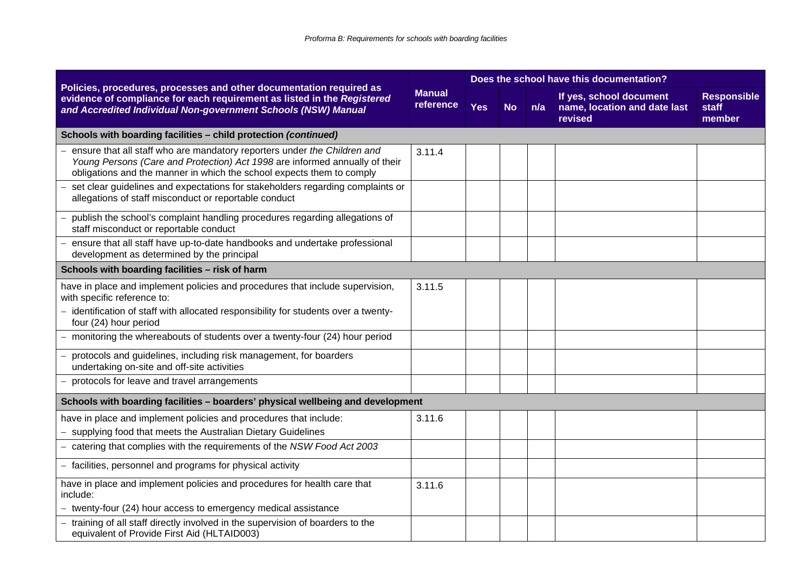|                                                                                                                                                                                                                                  |                            | Does the school have this documentation? |           |     |                                                                    |                                       |  |  |  |
|----------------------------------------------------------------------------------------------------------------------------------------------------------------------------------------------------------------------------------|----------------------------|------------------------------------------|-----------|-----|--------------------------------------------------------------------|---------------------------------------|--|--|--|
| Policies, procedures, processes and other documentation required as<br>evidence of compliance for each requirement as listed in the Registered<br>and Accredited Individual Non-government Schools (NSW) Manual                  | <b>Manual</b><br>reference | <b>Yes</b>                               | <b>No</b> | n/a | If yes, school document<br>name, location and date last<br>revised | <b>Responsible</b><br>staff<br>member |  |  |  |
| Schools with boarding facilities - child protection (continued)                                                                                                                                                                  |                            |                                          |           |     |                                                                    |                                       |  |  |  |
| ensure that all staff who are mandatory reporters under the Children and<br>Young Persons (Care and Protection) Act 1998 are informed annually of their<br>obligations and the manner in which the school expects them to comply | 3.11.4                     |                                          |           |     |                                                                    |                                       |  |  |  |
| set clear guidelines and expectations for stakeholders regarding complaints or<br>allegations of staff misconduct or reportable conduct                                                                                          |                            |                                          |           |     |                                                                    |                                       |  |  |  |
| publish the school's complaint handling procedures regarding allegations of<br>staff misconduct or reportable conduct                                                                                                            |                            |                                          |           |     |                                                                    |                                       |  |  |  |
| ensure that all staff have up-to-date handbooks and undertake professional<br>development as determined by the principal                                                                                                         |                            |                                          |           |     |                                                                    |                                       |  |  |  |
| Schools with boarding facilities - risk of harm                                                                                                                                                                                  |                            |                                          |           |     |                                                                    |                                       |  |  |  |
| have in place and implement policies and procedures that include supervision,<br>with specific reference to:<br>- identification of staff with allocated responsibility for students over a twenty-<br>four (24) hour period     | 3.11.5                     |                                          |           |     |                                                                    |                                       |  |  |  |
| - monitoring the whereabouts of students over a twenty-four (24) hour period                                                                                                                                                     |                            |                                          |           |     |                                                                    |                                       |  |  |  |
| protocols and guidelines, including risk management, for boarders<br>undertaking on-site and off-site activities                                                                                                                 |                            |                                          |           |     |                                                                    |                                       |  |  |  |
| protocols for leave and travel arrangements                                                                                                                                                                                      |                            |                                          |           |     |                                                                    |                                       |  |  |  |
| Schools with boarding facilities - boarders' physical wellbeing and development                                                                                                                                                  |                            |                                          |           |     |                                                                    |                                       |  |  |  |
| have in place and implement policies and procedures that include:<br>supplying food that meets the Australian Dietary Guidelines                                                                                                 | 3.11.6                     |                                          |           |     |                                                                    |                                       |  |  |  |
| catering that complies with the requirements of the NSW Food Act 2003                                                                                                                                                            |                            |                                          |           |     |                                                                    |                                       |  |  |  |
| - facilities, personnel and programs for physical activity                                                                                                                                                                       |                            |                                          |           |     |                                                                    |                                       |  |  |  |
| have in place and implement policies and procedures for health care that<br>include:                                                                                                                                             | 3.11.6                     |                                          |           |     |                                                                    |                                       |  |  |  |
| - twenty-four (24) hour access to emergency medical assistance                                                                                                                                                                   |                            |                                          |           |     |                                                                    |                                       |  |  |  |
| training of all staff directly involved in the supervision of boarders to the<br>equivalent of Provide First Aid (HLTAID003)                                                                                                     |                            |                                          |           |     |                                                                    |                                       |  |  |  |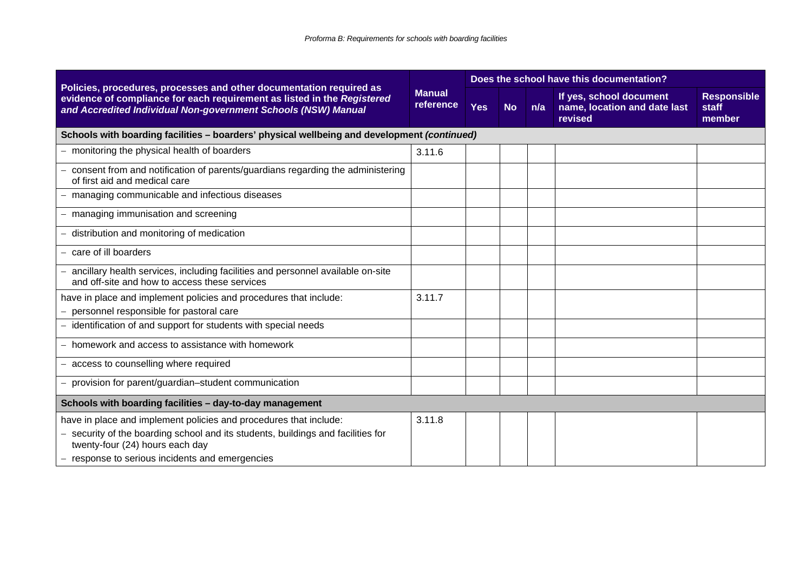|                                                                                                                                                                                                                 | <b>Manual</b><br>reference | Does the school have this documentation? |           |     |                                                                    |                                       |  |  |  |
|-----------------------------------------------------------------------------------------------------------------------------------------------------------------------------------------------------------------|----------------------------|------------------------------------------|-----------|-----|--------------------------------------------------------------------|---------------------------------------|--|--|--|
| Policies, procedures, processes and other documentation required as<br>evidence of compliance for each requirement as listed in the Registered<br>and Accredited Individual Non-government Schools (NSW) Manual |                            | <b>Yes</b>                               | <b>No</b> | n/a | If yes, school document<br>name, location and date last<br>revised | <b>Responsible</b><br>staff<br>member |  |  |  |
| Schools with boarding facilities - boarders' physical wellbeing and development (continued)                                                                                                                     |                            |                                          |           |     |                                                                    |                                       |  |  |  |
| - monitoring the physical health of boarders                                                                                                                                                                    | 3.11.6                     |                                          |           |     |                                                                    |                                       |  |  |  |
| - consent from and notification of parents/guardians regarding the administering<br>of first aid and medical care                                                                                               |                            |                                          |           |     |                                                                    |                                       |  |  |  |
| - managing communicable and infectious diseases                                                                                                                                                                 |                            |                                          |           |     |                                                                    |                                       |  |  |  |
| - managing immunisation and screening                                                                                                                                                                           |                            |                                          |           |     |                                                                    |                                       |  |  |  |
| - distribution and monitoring of medication                                                                                                                                                                     |                            |                                          |           |     |                                                                    |                                       |  |  |  |
| - care of ill boarders                                                                                                                                                                                          |                            |                                          |           |     |                                                                    |                                       |  |  |  |
| - ancillary health services, including facilities and personnel available on-site<br>and off-site and how to access these services                                                                              |                            |                                          |           |     |                                                                    |                                       |  |  |  |
| have in place and implement policies and procedures that include:                                                                                                                                               | 3.11.7                     |                                          |           |     |                                                                    |                                       |  |  |  |
| - personnel responsible for pastoral care                                                                                                                                                                       |                            |                                          |           |     |                                                                    |                                       |  |  |  |
| - identification of and support for students with special needs                                                                                                                                                 |                            |                                          |           |     |                                                                    |                                       |  |  |  |
| - homework and access to assistance with homework                                                                                                                                                               |                            |                                          |           |     |                                                                    |                                       |  |  |  |
| - access to counselling where required                                                                                                                                                                          |                            |                                          |           |     |                                                                    |                                       |  |  |  |
| - provision for parent/guardian-student communication                                                                                                                                                           |                            |                                          |           |     |                                                                    |                                       |  |  |  |
| Schools with boarding facilities - day-to-day management                                                                                                                                                        |                            |                                          |           |     |                                                                    |                                       |  |  |  |
| have in place and implement policies and procedures that include:                                                                                                                                               | 3.11.8                     |                                          |           |     |                                                                    |                                       |  |  |  |
| - security of the boarding school and its students, buildings and facilities for<br>twenty-four (24) hours each day                                                                                             |                            |                                          |           |     |                                                                    |                                       |  |  |  |
| - response to serious incidents and emergencies                                                                                                                                                                 |                            |                                          |           |     |                                                                    |                                       |  |  |  |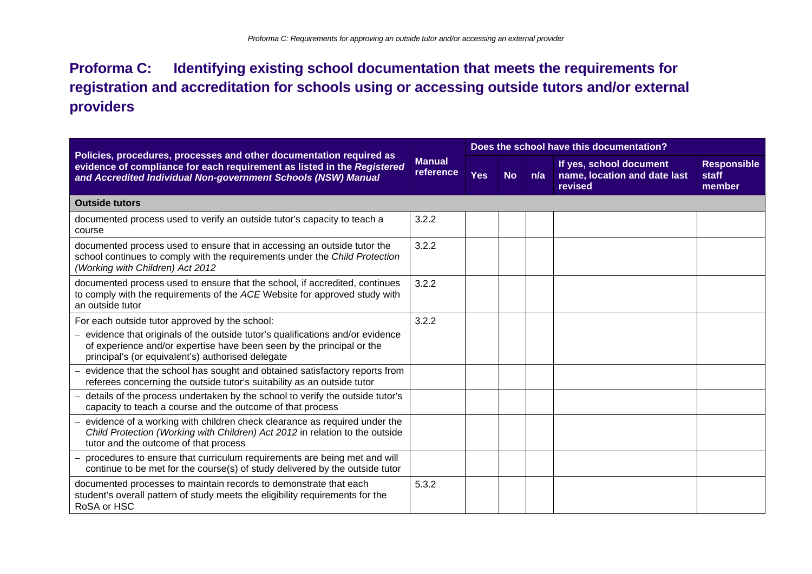### **Proforma C: Identifying existing school documentation that meets the requirements for registration and accreditation for schools using or accessing outside tutors and/or external providers**

|                                                                                                                                                                                                                 |                            | Does the school have this documentation? |           |     |                                                                    |                                       |  |  |
|-----------------------------------------------------------------------------------------------------------------------------------------------------------------------------------------------------------------|----------------------------|------------------------------------------|-----------|-----|--------------------------------------------------------------------|---------------------------------------|--|--|
| Policies, procedures, processes and other documentation required as<br>evidence of compliance for each requirement as listed in the Registered<br>and Accredited Individual Non-government Schools (NSW) Manual | <b>Manual</b><br>reference | <b>Yes</b>                               | <b>No</b> | n/a | If yes, school document<br>name, location and date last<br>revised | <b>Responsible</b><br>staff<br>member |  |  |
| <b>Outside tutors</b>                                                                                                                                                                                           |                            |                                          |           |     |                                                                    |                                       |  |  |
| documented process used to verify an outside tutor's capacity to teach a<br>course                                                                                                                              | 3.2.2                      |                                          |           |     |                                                                    |                                       |  |  |
| documented process used to ensure that in accessing an outside tutor the<br>school continues to comply with the requirements under the Child Protection<br>(Working with Children) Act 2012                     | 3.2.2                      |                                          |           |     |                                                                    |                                       |  |  |
| documented process used to ensure that the school, if accredited, continues<br>to comply with the requirements of the ACE Website for approved study with<br>an outside tutor                                   | 3.2.2                      |                                          |           |     |                                                                    |                                       |  |  |
| For each outside tutor approved by the school:                                                                                                                                                                  | 3.2.2                      |                                          |           |     |                                                                    |                                       |  |  |
| - evidence that originals of the outside tutor's qualifications and/or evidence<br>of experience and/or expertise have been seen by the principal or the<br>principal's (or equivalent's) authorised delegate   |                            |                                          |           |     |                                                                    |                                       |  |  |
| evidence that the school has sought and obtained satisfactory reports from<br>referees concerning the outside tutor's suitability as an outside tutor                                                           |                            |                                          |           |     |                                                                    |                                       |  |  |
| details of the process undertaken by the school to verify the outside tutor's<br>capacity to teach a course and the outcome of that process                                                                     |                            |                                          |           |     |                                                                    |                                       |  |  |
| evidence of a working with children check clearance as required under the<br>Child Protection (Working with Children) Act 2012 in relation to the outside<br>tutor and the outcome of that process              |                            |                                          |           |     |                                                                    |                                       |  |  |
| procedures to ensure that curriculum requirements are being met and will<br>continue to be met for the course(s) of study delivered by the outside tutor                                                        |                            |                                          |           |     |                                                                    |                                       |  |  |
| documented processes to maintain records to demonstrate that each<br>student's overall pattern of study meets the eligibility requirements for the<br>RoSA or HSC                                               | 5.3.2                      |                                          |           |     |                                                                    |                                       |  |  |